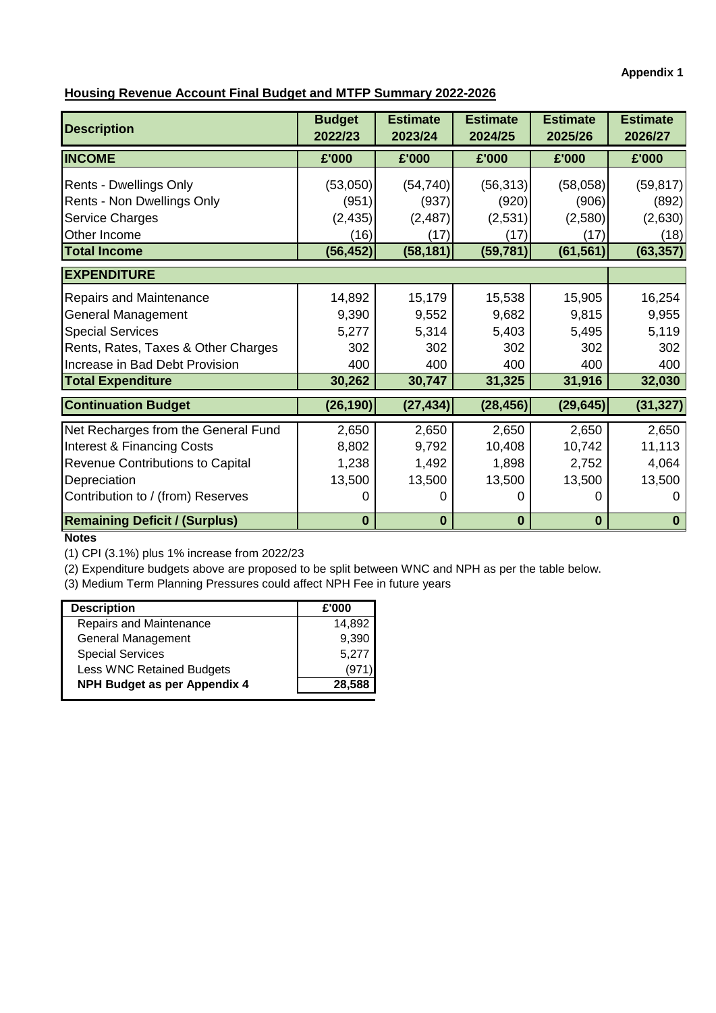**Appendix 1**

# **Housing Revenue Account Final Budget and MTFP Summary 2022-2026**

| <b>Description</b>                    | <b>Budget</b><br>2022/23 | <b>Estimate</b><br>2023/24 | <b>Estimate</b><br>2024/25 | <b>Estimate</b><br>2025/26 | <b>Estimate</b><br>2026/27 |
|---------------------------------------|--------------------------|----------------------------|----------------------------|----------------------------|----------------------------|
| <b>INCOME</b>                         | £'000                    | £'000                      | £'000                      | £'000                      | £'000                      |
| Rents - Dwellings Only                | (53,050)                 | (54, 740)                  | (56, 313)                  | (58,058)                   | (59, 817)                  |
| Rents - Non Dwellings Only            | (951)                    | (937)                      | (920)                      | (906)                      | (892)                      |
| Service Charges                       | (2, 435)                 | (2, 487)                   | (2,531)                    | (2,580)                    | (2,630)                    |
| Other Income                          | (16)                     | (17)                       | (17)                       | (17)                       | (18)                       |
| <b>Total Income</b>                   | (56, 452)                | (58, 181)                  | (59, 781)                  | (61, 561)                  | (63, 357)                  |
| <b>EXPENDITURE</b>                    |                          |                            |                            |                            |                            |
| Repairs and Maintenance               | 14,892                   | 15,179                     | 15,538                     | 15,905                     | 16,254                     |
| <b>General Management</b>             | 9,390                    | 9,552                      | 9,682                      | 9,815                      | 9,955                      |
| <b>Special Services</b>               | 5,277                    | 5,314                      | 5,403                      | 5,495                      | 5,119                      |
| Rents, Rates, Taxes & Other Charges   | 302                      | 302                        | 302                        | 302                        | 302                        |
| Increase in Bad Debt Provision        | 400                      | 400                        | 400                        | 400                        | 400                        |
| <b>Total Expenditure</b>              | 30,262                   | 30,747                     | 31,325                     | 31,916                     | 32,030                     |
| <b>Continuation Budget</b>            | (26, 190)                | (27, 434)                  | (28, 456)                  | (29, 645)                  | (31, 327)                  |
| Net Recharges from the General Fund   | 2,650                    | 2,650                      | 2,650                      | 2,650                      | 2,650                      |
| <b>Interest &amp; Financing Costs</b> | 8,802                    | 9,792                      | 10,408                     | 10,742                     | 11,113                     |
| Revenue Contributions to Capital      | 1,238                    | 1,492                      | 1,898                      | 2,752                      | 4,064                      |
| Depreciation                          | 13,500                   | 13,500                     | 13,500                     | 13,500                     | 13,500                     |
| Contribution to / (from) Reserves     | 0                        | 0                          | O                          |                            |                            |
| <b>Remaining Deficit / (Surplus)</b>  | $\bf{0}$                 | 0                          | $\bf{0}$                   | $\bf{0}$                   | 0                          |

## **Notes**

(1) CPI (3.1%) plus 1% increase from 2022/23

(2) Expenditure budgets above are proposed to be split between WNC and NPH as per the table below.

(3) Medium Term Planning Pressures could affect NPH Fee in future years

| <b>Description</b>               | £'000  |
|----------------------------------|--------|
| Repairs and Maintenance          | 14,892 |
| General Management               | 9,390  |
| <b>Special Services</b>          | 5,277  |
| <b>Less WNC Retained Budgets</b> | '9'    |
| NPH Budget as per Appendix 4     | 28,588 |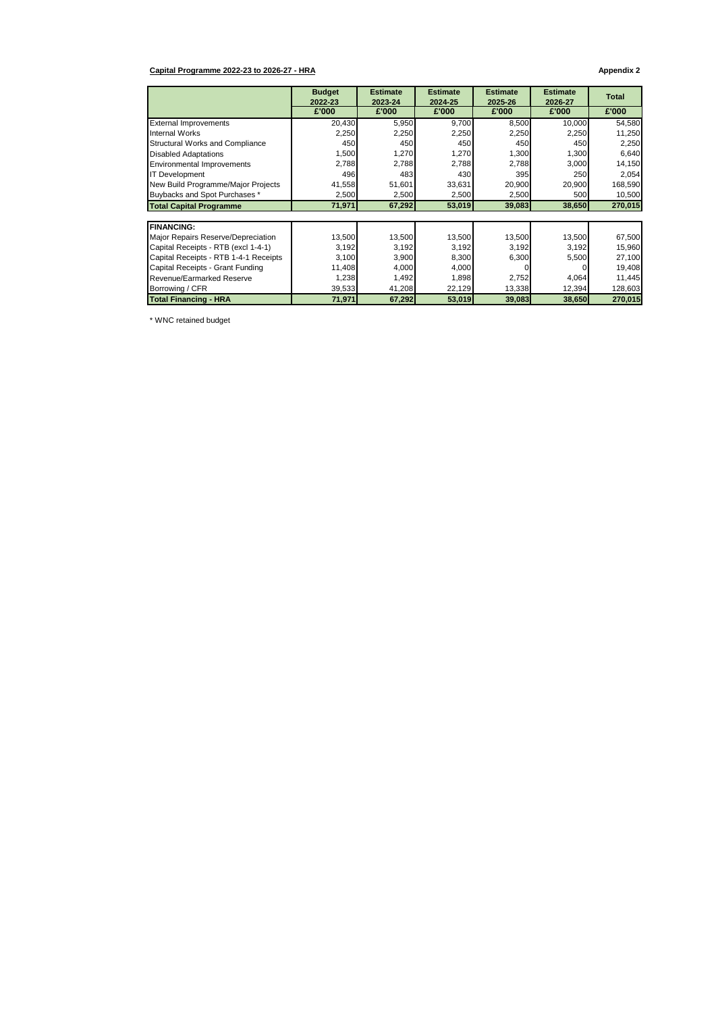#### **Capital Programme 2022-23 to 2026-27 - HRA Appendix 2**

|                                       | <b>Budget</b><br>2022-23 | <b>Estimate</b><br>2023-24 | <b>Estimate</b><br>2024-25 | <b>Estimate</b><br>2025-26 | <b>Estimate</b><br>2026-27 | <b>Total</b> |
|---------------------------------------|--------------------------|----------------------------|----------------------------|----------------------------|----------------------------|--------------|
|                                       | £'000                    | £'000                      | £'000                      | £'000                      | £'000                      | £'000        |
| <b>External Improvements</b>          | 20,430                   | 5,950                      | 9,700                      | 8,500                      | 10,000                     | 54,580       |
| Internal Works                        | 2,250                    | 2,250                      | 2,250                      | 2,250                      | 2,250                      | 11,250       |
| Structural Works and Compliance       | 450                      | 450                        | 450                        | 450                        | 450                        | 2,250        |
| <b>Disabled Adaptations</b>           | 1,500                    | 1,270                      | 1,270                      | 1,300                      | 1,300                      | 6,640        |
| <b>Environmental Improvements</b>     | 2,788                    | 2,788                      | 2,788                      | 2,788                      | 3,000                      | 14,150       |
| <b>IT Development</b>                 | 496                      | 483                        | 430                        | 395                        | 250                        | 2,054        |
| New Build Programme/Major Projects    | 41,558                   | 51,601                     | 33,631                     | 20,900                     | 20,900                     | 168,590      |
| Buybacks and Spot Purchases *         | 2,500                    | 2,500                      | 2,500                      | 2,500                      | 500                        | 10,500       |
| <b>Total Capital Programme</b>        | 71,971                   | 67,292                     | 53,019                     | 39,083                     | 38,650                     | 270,015      |
| <b>FINANCING:</b>                     |                          |                            |                            |                            |                            |              |
| Major Repairs Reserve/Depreciation    | 13,500                   | 13,500                     | 13,500                     | 13,500                     | 13,500                     | 67,500       |
| Capital Receipts - RTB (excl 1-4-1)   | 3,192                    | 3,192                      | 3,192                      | 3,192                      | 3,192                      | 15,960       |
| Capital Receipts - RTB 1-4-1 Receipts | 3,100                    | 3,900                      | 8,300                      | 6,300                      | 5,500                      | 27,100       |
| Capital Receipts - Grant Funding      | 11,408                   | 4,000                      | 4,000                      |                            |                            | 19,408       |
| Revenue/Earmarked Reserve             | 1,238                    | 1,492                      | 1,898                      | 2,752                      | 4,064                      | 11,445       |
| Borrowing / CFR                       | 39,533                   | 41,208                     | 22,129                     | 13,338                     | 12,394                     | 128,603      |
| <b>Total Financing - HRA</b>          | 71,971                   | 67,292                     | 53,019                     | 39,083                     | 38,650                     | 270,015      |

\* WNC retained budget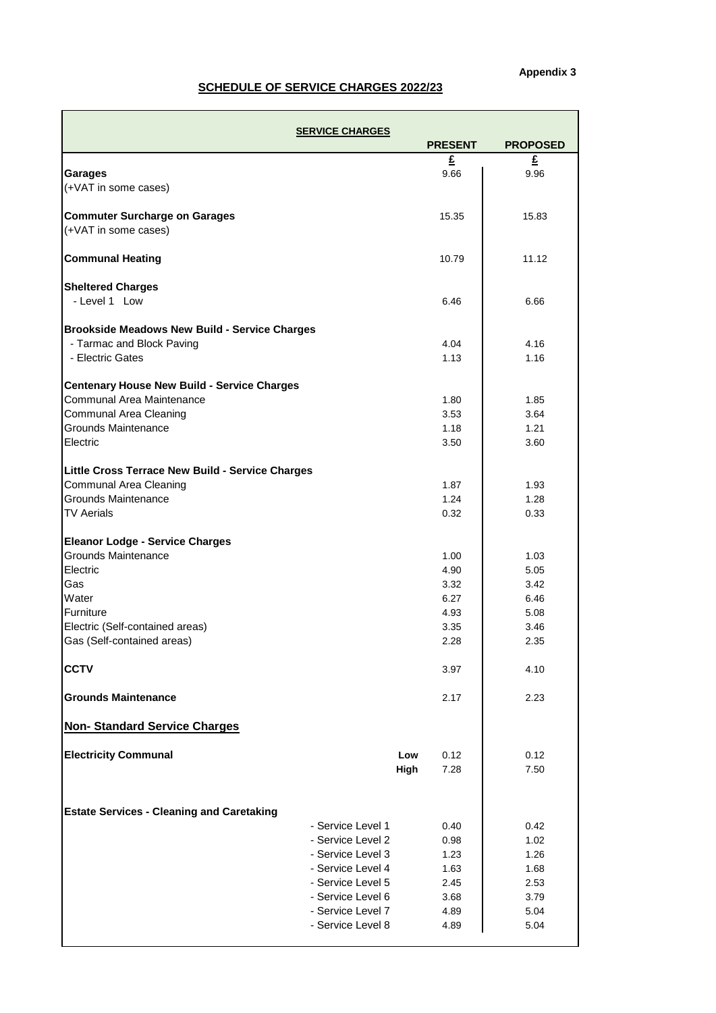## **SCHEDULE OF SERVICE CHARGES 2022/23**

|                                                      | <b>SERVICE CHARGES</b>                 |                |                 |
|------------------------------------------------------|----------------------------------------|----------------|-----------------|
|                                                      |                                        | <b>PRESENT</b> | <b>PROPOSED</b> |
| <b>Garages</b>                                       |                                        | £<br>9.66      | £<br>9.96       |
| (+VAT in some cases)                                 |                                        |                |                 |
| <b>Commuter Surcharge on Garages</b>                 |                                        | 15.35          | 15.83           |
| (+VAT in some cases)                                 |                                        |                |                 |
| <b>Communal Heating</b>                              |                                        | 10.79          | 11.12           |
| <b>Sheltered Charges</b>                             |                                        |                |                 |
| - Level 1 Low                                        |                                        | 6.46           | 6.66            |
| <b>Brookside Meadows New Build - Service Charges</b> |                                        |                |                 |
| - Tarmac and Block Paving                            |                                        | 4.04           | 4.16            |
| - Electric Gates                                     |                                        | 1.13           | 1.16            |
| <b>Centenary House New Build - Service Charges</b>   |                                        |                |                 |
| Communal Area Maintenance                            |                                        | 1.80           | 1.85            |
| Communal Area Cleaning                               |                                        | 3.53           | 3.64            |
| Grounds Maintenance                                  |                                        | 1.18           | 1.21            |
| Electric                                             |                                        | 3.50           | 3.60            |
| Little Cross Terrace New Build - Service Charges     |                                        |                |                 |
| Communal Area Cleaning                               |                                        | 1.87           | 1.93            |
| Grounds Maintenance                                  |                                        | 1.24           | 1.28            |
| <b>TV Aerials</b>                                    |                                        | 0.32           | 0.33            |
| <b>Eleanor Lodge - Service Charges</b>               |                                        |                |                 |
| Grounds Maintenance                                  |                                        | 1.00           | 1.03            |
| Electric                                             |                                        | 4.90           | 5.05            |
| Gas                                                  |                                        | 3.32           | 3.42            |
| Water                                                |                                        | 6.27           | 6.46            |
| Furniture                                            |                                        | 4.93           | 5.08            |
| Electric (Self-contained areas)                      |                                        | 3.35           | 3.46            |
| Gas (Self-contained areas)                           |                                        | 2.28           | 2.35            |
| <b>CCTV</b>                                          |                                        | 3.97           | 4.10            |
| <b>Grounds Maintenance</b>                           |                                        | 2.17           | 2.23            |
| <b>Non-Standard Service Charges</b>                  |                                        |                |                 |
| <b>Electricity Communal</b>                          | Low                                    | 0.12           | 0.12            |
|                                                      | High                                   | 7.28           | 7.50            |
|                                                      |                                        |                |                 |
| <b>Estate Services - Cleaning and Caretaking</b>     |                                        |                |                 |
|                                                      | - Service Level 1                      | 0.40           | 0.42            |
|                                                      | - Service Level 2<br>- Service Level 3 | 0.98           | 1.02            |
|                                                      | - Service Level 4                      | 1.23<br>1.63   | 1.26<br>1.68    |
|                                                      | - Service Level 5                      | 2.45           | 2.53            |
|                                                      | - Service Level 6                      | 3.68           | 3.79            |
|                                                      | - Service Level 7                      | 4.89           | 5.04            |
|                                                      | - Service Level 8                      | 4.89           | 5.04            |
|                                                      |                                        |                |                 |